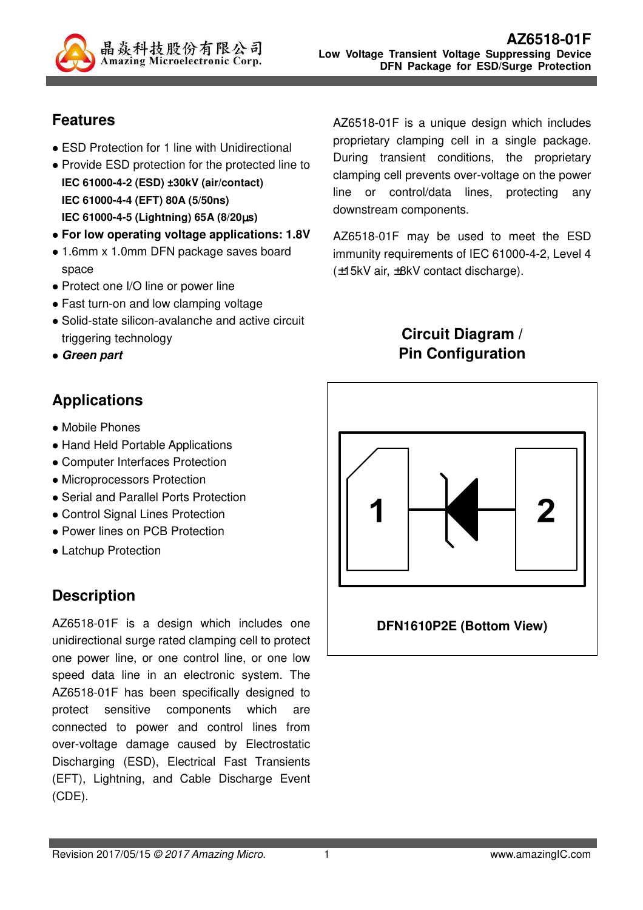

## **Features**

- ESD Protection for 1 line with Unidirectional
- Provide ESD protection for the protected line to **IEC 61000-4-2 (ESD) ±30kV (air/contact) IEC 61000-4-4 (EFT) 80A (5/50ns) IEC 61000-4-5 (Lightning) 65A (8/20**µ**s)**
- **For low operating voltage applications: 1.8V**
- 1.6mm x 1.0mm DFN package saves board space
- Protect one I/O line or power line
- Fast turn-on and low clamping voltage
- Solid-state silicon-avalanche and active circuit triggering technology
- **Green part**

# **Applications**

- Mobile Phones
- Hand Held Portable Applications
- Computer Interfaces Protection
- Microprocessors Protection
- Serial and Parallel Ports Protection
- Control Signal Lines Protection
- Power lines on PCB Protection
- Latchup Protection

# **Description**

AZ6518-01F is a design which includes one unidirectional surge rated clamping cell to protect one power line, or one control line, or one low speed data line in an electronic system. The AZ6518-01F has been specifically designed to protect sensitive components which are connected to power and control lines from over-voltage damage caused by Electrostatic Discharging (ESD), Electrical Fast Transients (EFT), Lightning, and Cable Discharge Event (CDE).

AZ6518-01F is a unique design which includes proprietary clamping cell in a single package. During transient conditions, the proprietary clamping cell prevents over-voltage on the power line or control/data lines, protecting any downstream components.

AZ6518-01F may be used to meet the ESD immunity requirements of IEC 61000-4-2, Level 4 (±15kV air, ±8kV contact discharge).

## **Circuit Diagram / Pin Configuration**



#### **DFN1610P2E (Bottom View)**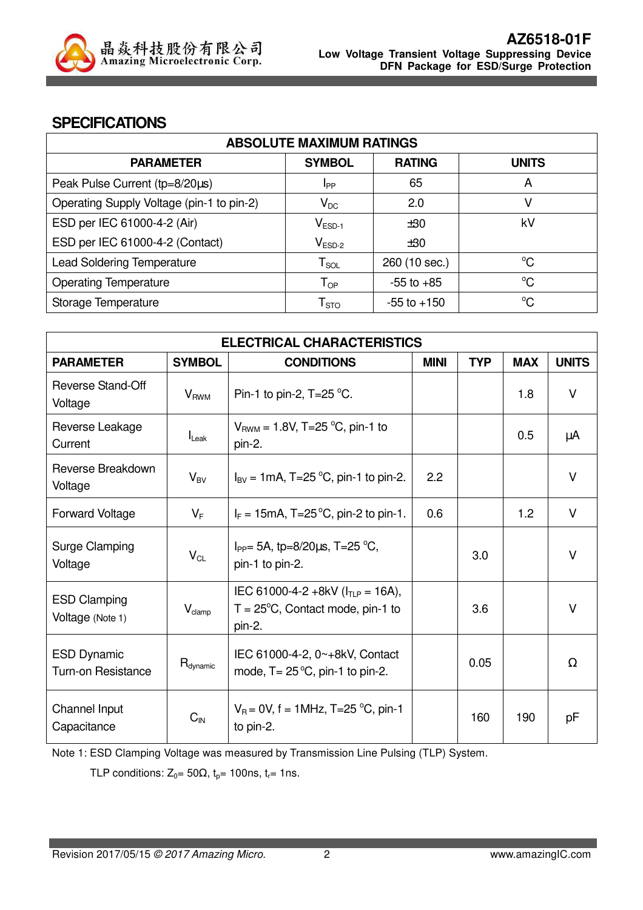

#### **SPECIFICATIONS**

| <b>ABSOLUTE MAXIMUM RATINGS</b>           |                            |                 |              |
|-------------------------------------------|----------------------------|-----------------|--------------|
| <b>PARAMETER</b>                          | <b>SYMBOL</b>              | <b>RATING</b>   | <b>UNITS</b> |
| Peak Pulse Current (tp=8/20µs)            | I <sub>PP</sub>            | 65              | A            |
| Operating Supply Voltage (pin-1 to pin-2) | $\mathsf{V}_{\mathsf{DC}}$ | 2.0             | V            |
| ESD per IEC 61000-4-2 (Air)               | $V_{ESD-1}$                | ±30             | kV           |
| ESD per IEC 61000-4-2 (Contact)           | $V_{ESD-2}$                | ±30             |              |
| <b>Lead Soldering Temperature</b>         | ${\sf T}_{\sf SOL}$        | 260 (10 sec.)   | $^{\circ}C$  |
| <b>Operating Temperature</b>              | $\mathsf{T}_{\mathsf{OP}}$ | $-55$ to $+85$  | $^{\circ}C$  |
| Storage Temperature                       | ${\mathsf T}_{\text{STO}}$ | $-55$ to $+150$ | $^{\circ}C$  |

| <b>ELECTRICAL CHARACTERISTICS</b>               |                        |                                                                                                |             |            |            |              |
|-------------------------------------------------|------------------------|------------------------------------------------------------------------------------------------|-------------|------------|------------|--------------|
| <b>PARAMETER</b>                                | <b>SYMBOL</b>          | <b>CONDITIONS</b>                                                                              | <b>MINI</b> | <b>TYP</b> | <b>MAX</b> | <b>UNITS</b> |
| <b>Reverse Stand-Off</b><br>Voltage             | <b>V<sub>RWM</sub></b> | Pin-1 to pin-2, $T=25^{\circ}$ C.                                                              |             |            | 1.8        | $\vee$       |
| Reverse Leakage<br>Current                      | $I_{\text{Leak}}$      | $V_{BWM}$ = 1.8V, T=25 °C, pin-1 to<br>pin-2.                                                  |             |            | 0.5        | μA           |
| Reverse Breakdown<br>Voltage                    | $V_{BV}$               | $I_{BV} = 1 \text{mA}, T = 25 \text{ °C}, \text{pin-1 to pin-2}.$                              | 2.2         |            |            | $\vee$       |
| <b>Forward Voltage</b>                          | $V_F$                  | $I_F = 15 \text{mA}, T = 25 \text{°C}, \text{pin-2 to pin-1}.$                                 | 0.6         |            | 1.2        | $\vee$       |
| Surge Clamping<br>Voltage                       | $V_{CL}$               | $I_{PP}$ = 5A, tp=8/20 $\mu$ s, T=25 °C,<br>pin-1 to pin-2.                                    |             | 3.0        |            | $\vee$       |
| <b>ESD Clamping</b><br>Voltage (Note 1)         | $V_{\text{clamp}}$     | IEC 61000-4-2 +8kV ( $I_{TLP}$ = 16A),<br>$T = 25^{\circ}C$ , Contact mode, pin-1 to<br>pin-2. |             | 3.6        |            | $\vee$       |
| <b>ESD Dynamic</b><br><b>Turn-on Resistance</b> | R <sub>dynamic</sub>   | IEC 61000-4-2, 0~+8kV, Contact<br>mode, $T = 25^{\circ}C$ , pin-1 to pin-2.                    |             | 0.05       |            | $\Omega$     |
| Channel Input<br>Capacitance                    | $C_{\text{IN}}$        | $V_R = 0V$ , f = 1MHz, T=25 °C, pin-1<br>to pin-2.                                             |             | 160        | 190        | pF           |

Note 1: ESD Clamping Voltage was measured by Transmission Line Pulsing (TLP) System.

TLP conditions:  $Z_0 = 50\Omega$ ,  $t_p = 100$ ns,  $t_r = 1$ ns.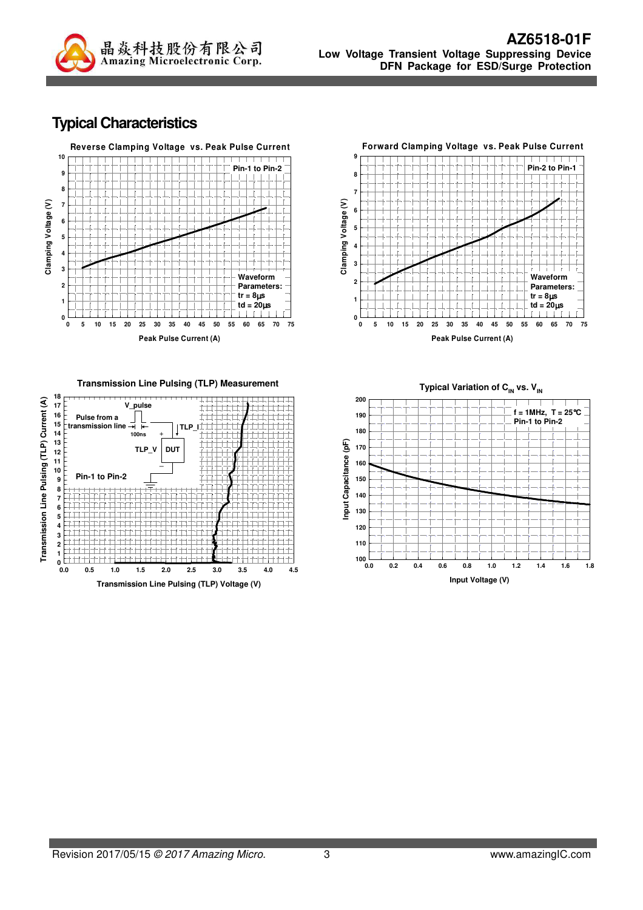

#### **Typical Characteristics**



**Transmission Line Pulsing (TLP) Measurement**





**Peak Pulse Current (A)**

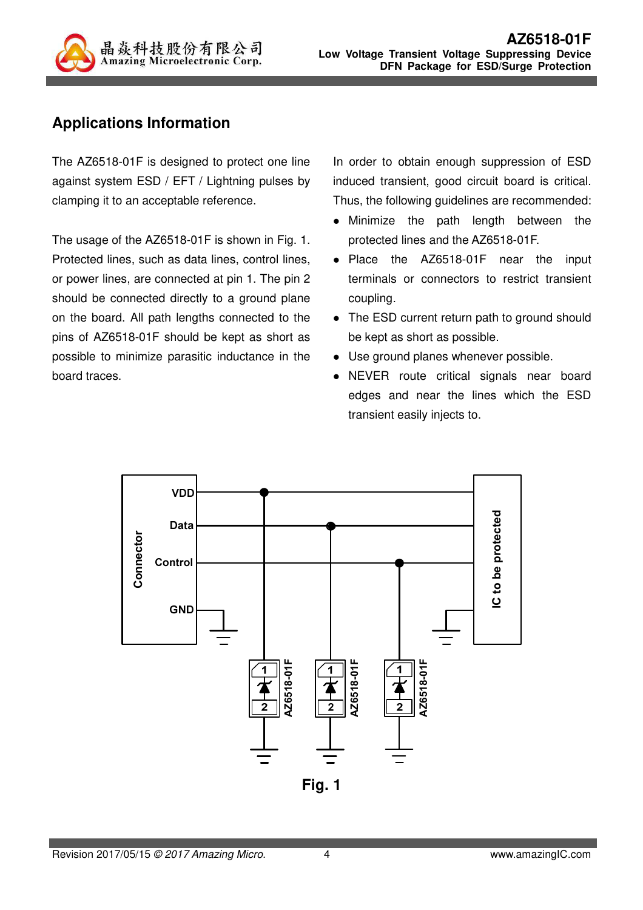

## **Applications Information**

The AZ6518-01F is designed to protect one line against system ESD / EFT / Lightning pulses by clamping it to an acceptable reference.

The usage of the AZ6518-01F is shown in Fig. 1. Protected lines, such as data lines, control lines, or power lines, are connected at pin 1. The pin 2 should be connected directly to a ground plane on the board. All path lengths connected to the pins of AZ6518-01F should be kept as short as possible to minimize parasitic inductance in the board traces.

In order to obtain enough suppression of ESD induced transient, good circuit board is critical. Thus, the following guidelines are recommended:

- Minimize the path length between the protected lines and the AZ6518-01F.
- Place the AZ6518-01F near the input terminals or connectors to restrict transient coupling.
- The ESD current return path to ground should be kept as short as possible.
- Use ground planes whenever possible.
- NEVER route critical signals near board edges and near the lines which the ESD transient easily injects to.

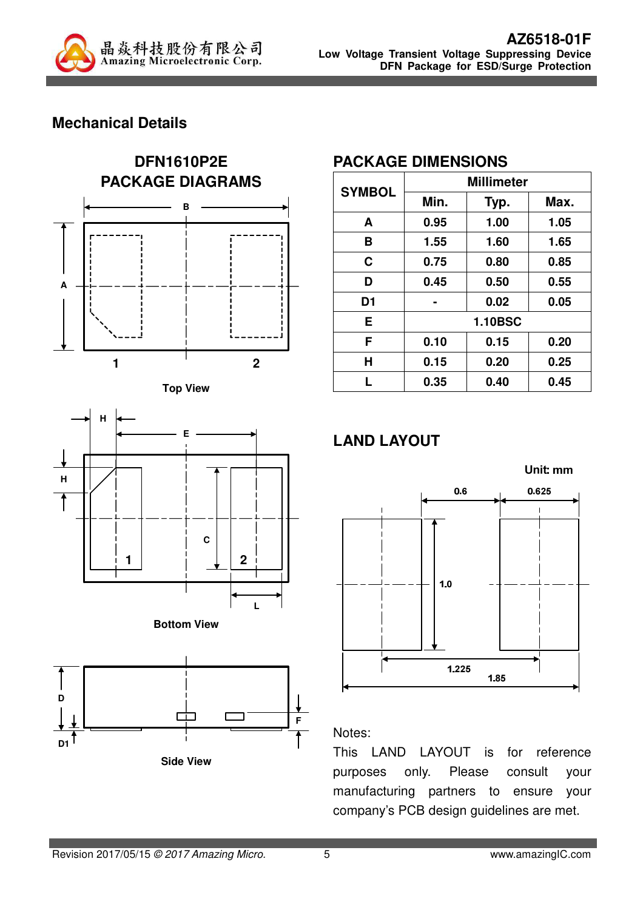

## **Mechanical Details**











#### **PACKAGE DIMENSIONS**

|                | <b>Millimeter</b> |                |      |  |
|----------------|-------------------|----------------|------|--|
| <b>SYMBOL</b>  | Min.              | Typ.           | Max. |  |
| A              | 0.95              | 1.00           | 1.05 |  |
| B              | 1.55              | 1.60           | 1.65 |  |
| C              | 0.75              | 0.80           | 0.85 |  |
| D              | 0.45              | 0.50           | 0.55 |  |
| D <sub>1</sub> |                   | 0.02           | 0.05 |  |
| E              |                   | <b>1.10BSC</b> |      |  |
| F              | 0.10              | 0.15           | 0.20 |  |
| Н              | 0.15              | 0.20           | 0.25 |  |
| L              | 0.35              | 0.40           | 0.45 |  |

# **LAND LAYOUT**



#### Notes:

This LAND LAYOUT is for reference purposes only. Please consult your manufacturing partners to ensure your company's PCB design guidelines are met.